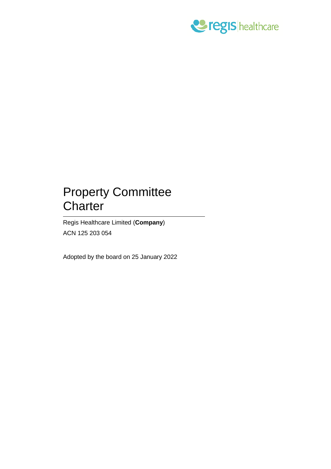

# Property Committee **Charter**

Regis Healthcare Limited (**Company**) ACN 125 203 054

Adopted by the board on 25 January 2022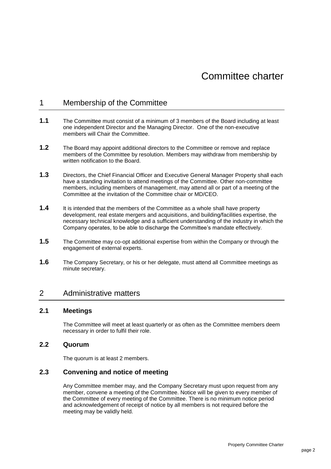# 1 Membership of the Committee

- **1.1** The Committee must consist of a minimum of 3 members of the Board including at least one independent Director and the Managing Director. One of the non-executive members will Chair the Committee.
- **1.2** The Board may appoint additional directors to the Committee or remove and replace members of the Committee by resolution. Members may withdraw from membership by written notification to the Board.
- **1.3** Directors, the Chief Financial Officer and Executive General Manager Property shall each have a standing invitation to attend meetings of the Committee. Other non-committee members, including members of management, may attend all or part of a meeting of the Committee at the invitation of the Committee chair or MD/CEO.
- **1.4** It is intended that the members of the Committee as a whole shall have property development, real estate mergers and acquisitions, and building/facilities expertise, the necessary technical knowledge and a sufficient understanding of the industry in which the Company operates, to be able to discharge the Committee's mandate effectively.
- **1.5** The Committee may co-opt additional expertise from within the Company or through the engagement of external experts.
- **1.6** The Company Secretary, or his or her delegate, must attend all Committee meetings as minute secretary.

# 2 Administrative matters

## **2.1 Meetings**

The Committee will meet at least quarterly or as often as the Committee members deem necessary in order to fulfil their role.

#### **2.2 Quorum**

The quorum is at least 2 members.

## **2.3 Convening and notice of meeting**

Any Committee member may, and the Company Secretary must upon request from any member, convene a meeting of the Committee. Notice will be given to every member of the Committee of every meeting of the Committee. There is no minimum notice period and acknowledgement of receipt of notice by all members is not required before the meeting may be validly held.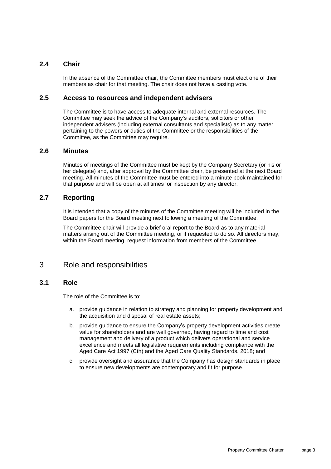## **2.4 Chair**

In the absence of the Committee chair, the Committee members must elect one of their members as chair for that meeting. The chair does not have a casting vote.

#### **2.5 Access to resources and independent advisers**

The Committee is to have access to adequate internal and external resources. The Committee may seek the advice of the Company's auditors, solicitors or other independent advisers (including external consultants and specialists) as to any matter pertaining to the powers or duties of the Committee or the responsibilities of the Committee, as the Committee may require.

#### **2.6 Minutes**

Minutes of meetings of the Committee must be kept by the Company Secretary (or his or her delegate) and, after approval by the Committee chair, be presented at the next Board meeting. All minutes of the Committee must be entered into a minute book maintained for that purpose and will be open at all times for inspection by any director.

## **2.7 Reporting**

It is intended that a copy of the minutes of the Committee meeting will be included in the Board papers for the Board meeting next following a meeting of the Committee.

The Committee chair will provide a brief oral report to the Board as to any material matters arising out of the Committee meeting, or if requested to do so. All directors may, within the Board meeting, request information from members of the Committee.

# 3 Role and responsibilities

## **3.1 Role**

The role of the Committee is to:

- a. provide guidance in relation to strategy and planning for property development and the acquisition and disposal of real estate assets;
- b. provide guidance to ensure the Company's property development activities create value for shareholders and are well governed, having regard to time and cost management and delivery of a product which delivers operational and service excellence and meets all legislative requirements including compliance with the Aged Care Act 1997 (Cth) and the Aged Care Quality Standards, 2018; and
- c. provide oversight and assurance that the Company has design standards in place to ensure new developments are contemporary and fit for purpose.